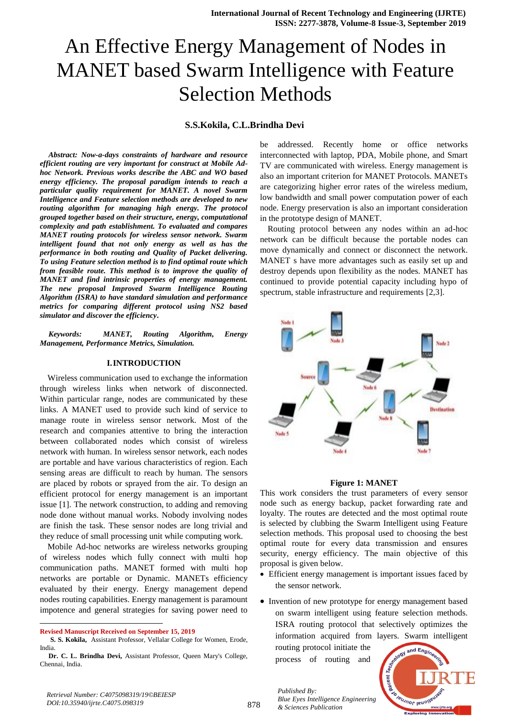# An Effective Energy Management of Nodes in MANET based Swarm Intelligence with Feature Selection Methods

# **S.S.Kokila, C.L.Brindha Devi**

*Abstract: Now-a-days constraints of hardware and resource efficient routing are very important for construct at Mobile Adhoc Network. Previous works describe the ABC and WO based energy efficiency. The proposal paradigm intends to reach a particular quality requirement for MANET. A novel Swarm Intelligence and Feature selection methods are developed to new routing algorithm for managing high energy. The protocol grouped together based on their structure, energy, computational complexity and path establishment. To evaluated and compares MANET routing protocols for wireless sensor network. Swarm intelligent found that not only energy as well as has the performance in both routing and Quality of Packet delivering. To using Feature selection method is to find optimal route which from feasible route. This method is to improve the quality of MANET and find intrinsic properties of energy management. The new proposal Improved Swarm Intelligence Routing Algorithm (ISRA) to have standard simulation and performance metrics for comparing different protocol using NS2 based simulator and discover the efficiency***.**

*Keywords: MANET, Routing Algorithm, Energy Management, Performance Metrics, Simulation.* 

# **I.INTRODUCTION**

Wireless communication used to exchange the information through wireless links when network of disconnected. Within particular range, nodes are communicated by these links. A MANET used to provide such kind of service to manage route in wireless sensor network. Most of the research and companies attentive to bring the interaction between collaborated nodes which consist of wireless network with human. In wireless sensor network, each nodes are portable and have various characteristics of region. Each sensing areas are difficult to reach by human. The sensors are placed by robots or sprayed from the air. To design an efficient protocol for energy management is an important issue [1]. The network construction, to adding and removing node done without manual works. Nobody involving nodes are finish the task. These sensor nodes are long trivial and they reduce of small processing unit while computing work.

Mobile Ad-hoc networks are wireless networks grouping of wireless nodes which fully connect with multi hop communication paths. MANET formed with multi hop networks are portable or Dynamic. MANETs efficiency evaluated by their energy. Energy management depend nodes routing capabilities. Energy management is paramount impotence and general strategies for saving power need to

l

be addressed. Recently home or office networks interconnected with laptop, PDA, Mobile phone, and Smart TV are communicated with wireless. Energy management is also an important criterion for MANET Protocols. MANETs are categorizing higher error rates of the wireless medium, low bandwidth and small power computation power of each node. Energy preservation is also an important consideration in the prototype design of MANET.

Routing protocol between any nodes within an ad-hoc network can be difficult because the portable nodes can move dynamically and connect or disconnect the network. MANET s have more advantages such as easily set up and destroy depends upon flexibility as the nodes. MANET has continued to provide potential capacity including hypo of spectrum, stable infrastructure and requirements [2,3].



#### **Figure 1: MANET**

This work considers the trust parameters of every sensor node such as energy backup, packet forwarding rate and loyalty. The routes are detected and the most optimal route is selected by clubbing the Swarm Intelligent using Feature selection methods. This proposal used to choosing the best optimal route for every data transmission and ensures security, energy efficiency. The main objective of this proposal is given below.

- Efficient energy management is important issues faced by the sensor network.
- Invention of new prototype for energy management based on swarm intelligent using feature selection methods. ISRA routing protocol that selectively optimizes the information acquired from layers. Swarm intelligent

routing protocol initiate the process of routing and

*Blue Eyes Intelligence Engineering* 

*Published By:*



**Revised Manuscript Received on September 15, 2019**

**S. S. Kokila,** Assistant Professor, Vellalar College for Women, Erode, India.

**Dr. C. L. Brindha Devi,** Assistant Professor, Queen Mary's College, Chennai, India.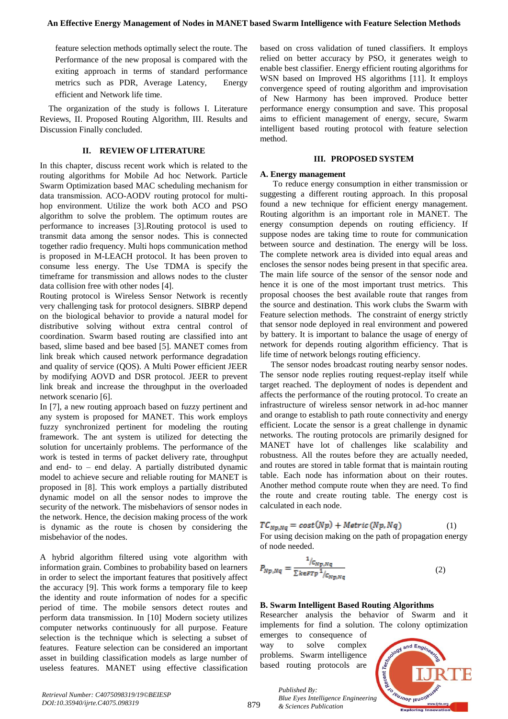feature selection methods optimally select the route. The Performance of the new proposal is compared with the exiting approach in terms of standard performance metrics such as PDR, Average Latency, Energy efficient and Network life time.

The organization of the study is follows I. Literature Reviews, II. Proposed Routing Algorithm, III. Results and Discussion Finally concluded.

## **II. REVIEW OF LITERATURE**

In this chapter, discuss recent work which is related to the routing algorithms for Mobile Ad hoc Network. Particle Swarm Optimization based MAC scheduling mechanism for data transmission. ACO-AODV routing protocol for multihop environment. Utilize the work both ACO and PSO algorithm to solve the problem. The optimum routes are performance to increases [3].Routing protocol is used to transmit data among the sensor nodes. This is connected together radio frequency. Multi hops communication method is proposed in M-LEACH protocol. It has been proven to consume less energy. The Use TDMA is specify the timeframe for transmission and allows nodes to the cluster data collision free with other nodes [4].

Routing protocol is Wireless Sensor Network is recently very challenging task for protocol designers. SIBRP depend on the biological behavior to provide a natural model for distributive solving without extra central control of coordination. Swarm based routing are classified into ant based, slime based and bee based [5]. MANET comes from link break which caused network performance degradation and quality of service (QOS). A Multi Power efficient JEER by modifying AOVD and DSR protocol. JEER to prevent link break and increase the throughput in the overloaded network scenario [6].

In [7], a new routing approach based on fuzzy pertinent and any system is proposed for MANET. This work employs fuzzy synchronized pertinent for modeling the routing framework. The ant system is utilized for detecting the solution for uncertainly problems. The performance of the work is tested in terms of packet delivery rate, throughput and end- to – end delay. A partially distributed dynamic model to achieve secure and reliable routing for MANET is proposed in [8]. This work employs a partially distributed dynamic model on all the sensor nodes to improve the security of the network. The misbehaviors of sensor nodes in the network. Hence, the decision making process of the work is dynamic as the route is chosen by considering the misbehavior of the nodes.

A hybrid algorithm filtered using vote algorithm with information grain. Combines to probability based on learners in order to select the important features that positively affect the accuracy [9]. This work forms a temporary file to keep the identity and route information of nodes for a specific period of time. The mobile sensors detect routes and perform data transmission. In [10] Modern society utilizes computer networks continuously for all purpose. Feature selection is the technique which is selecting a subset of features. Feature selection can be considered an important asset in building classification models as large number of useless features. MANET using effective classification

based on cross validation of tuned classifiers. It employs relied on better accuracy by PSO, it generates weigh to enable best classifier. Energy efficient routing algorithms for WSN based on Improved HS algorithms [11]. It employs convergence speed of routing algorithm and improvisation of New Harmony has been improved. Produce better performance energy consumption and save. This proposal aims to efficient management of energy, secure, Swarm intelligent based routing protocol with feature selection method.

#### **III. PROPOSED SYSTEM**

#### **A. Energy management**

 To reduce energy consumption in either transmission or suggesting a different routing approach. In this proposal found a new technique for efficient energy management. Routing algorithm is an important role in MANET. The energy consumption depends on routing efficiency. If suppose nodes are taking time to route for communication between source and destination. The energy will be loss. The complete network area is divided into equal areas and encloses the sensor nodes being present in that specific area. The main life source of the sensor of the sensor node and hence it is one of the most important trust metrics. This proposal chooses the best available route that ranges from the source and destination. This work clubs the Swarm with Feature selection methods. The constraint of energy strictly that sensor node deployed in real environment and powered by battery. It is important to balance the usage of energy of network for depends routing algorithm efficiency. That is life time of network belongs routing efficiency.

 The sensor nodes broadcast routing nearby sensor nodes. The sensor node replies routing request-replay itself while target reached. The deployment of nodes is dependent and affects the performance of the routing protocol. To create an infrastructure of wireless sensor network in ad-hoc manner and orange to establish to path route connectivity and energy efficient. Locate the sensor is a great challenge in dynamic networks. The routing protocols are primarily designed for MANET have lot of challenges like scalability and robustness. All the routes before they are actually needed, and routes are stored in table format that is maintain routing table. Each node has information about on their routes. Another method compute route when they are need. To find the route and create routing table. The energy cost is calculated in each node.

$$
TC_{Np,Nq} = cost(Np) + Metric(Np, Nq)
$$
 (1)  
For using decision making on the path of propagation energy  
of node needed.

$$
P_{Np,Nq} = \frac{1_{/C_{Np,Nq}}}{\sum_{k \in \mathbb{F}Tp} 1_{/C_{Np,Nq}}} \tag{2}
$$

## **B. Swarm Intelligent Based Routing Algorithms**

Researcher analysis the behavior of Swarm and it implements for find a solution. The colony optimization

emerges to consequence of way to solve complex problems. Swarm intelligence based routing protocols are

*& Sciences Publication* 

*Published By:*



879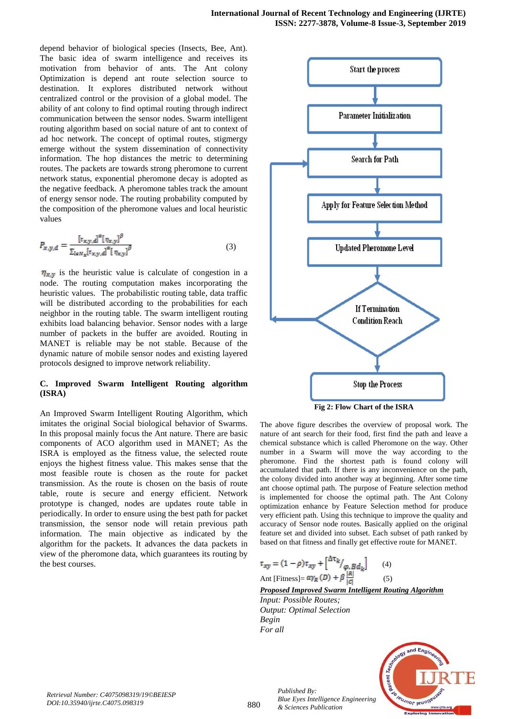depend behavior of biological species (Insects, Bee, Ant). The basic idea of swarm intelligence and receives its motivation from behavior of ants. The Ant colony Optimization is depend ant route selection source to destination. It explores distributed network without centralized control or the provision of a global model. The ability of ant colony to find optimal routing through indirect communication between the sensor nodes. Swarm intelligent routing algorithm based on social nature of ant to context of ad hoc network. The concept of optimal routes, stigmergy emerge without the system dissemination of connectivity information. The hop distances the metric to determining routes. The packets are towards strong pheromone to current network status, exponential pheromone decay is adopted as the negative feedback. A pheromone tables track the amount of energy sensor node. The routing probability computed by the composition of the pheromone values and local heuristic values

$$
P_{x,y,d} = \frac{[\tau_{x,y,d}]^{\alpha} [\eta_{x,y}]^{\beta}}{\sum_{l \in N_x} [\tau_{x,y,d}]^{\alpha} [\eta_{x,y}]^{\beta}} \tag{3}
$$

 $\eta_{x,y}$  is the heuristic value is calculate of congestion in a node. The routing computation makes incorporating the heuristic values. The probabilistic routing table, data traffic will be distributed according to the probabilities for each neighbor in the routing table. The swarm intelligent routing exhibits load balancing behavior. Sensor nodes with a large number of packets in the buffer are avoided. Routing in MANET is reliable may be not stable. Because of the dynamic nature of mobile sensor nodes and existing layered protocols designed to improve network reliability.

# **C. Improved Swarm Intelligent Routing algorithm (ISRA)**

An Improved Swarm Intelligent Routing Algorithm, which imitates the original Social biological behavior of Swarms. In this proposal mainly focus the Ant nature. There are basic components of ACO algorithm used in MANET; As the ISRA is employed as the fitness value, the selected route enjoys the highest fitness value. This makes sense that the most feasible route is chosen as the route for packet transmission. As the route is chosen on the basis of route table, route is secure and energy efficient. Network prototype is changed, nodes are updates route table in periodically. In order to ensure using the best path for packet transmission, the sensor node will retain previous path information. The main objective as indicated by the algorithm for the packets. It advances the data packets in view of the pheromone data, which guarantees its routing by the best courses.



The above figure describes the overview of proposal work. The nature of ant search for their food, first find the path and leave a chemical substance which is called Pheromone on the way. Other number in a Swarm will move the way according to the pheromone. Find the shortest path is found colony will accumulated that path. If there is any inconvenience on the path, the colony divided into another way at beginning. After some time ant choose optimal path. The purpose of Feature selection method is implemented for choose the optimal path. The Ant Colony optimization enhance by Feature Selection method for produce very efficient path. Using this technique to improve the quality and accuracy of Sensor node routes. Basically applied on the original feature set and divided into subset. Each subset of path ranked by based on that fitness and finally get effective route for MANET.

$$
\tau_{xy} = (1 - \rho)\tau_{xy} + \left[\frac{\Delta \tau_k}{\varphi B d_k}\right] \qquad (4)
$$
  
Ant [Fitness] =  $\alpha \gamma_R(D) + \beta \frac{|R|}{|C|}$  (5)

*Proposed Improved Swarm Intelligent Routing Algorithm*

*Input: Possible Routes; Output: Optimal Selection Begin For all*

*Published By:*

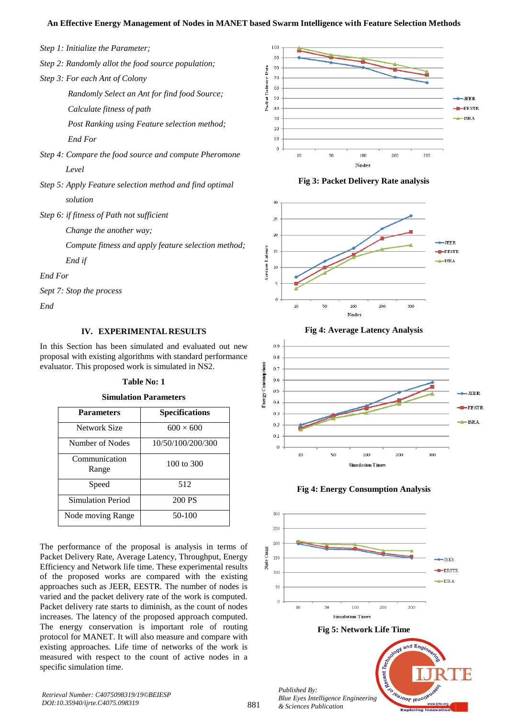# **An Effective Energy Management of Nodes in MANET based Swarm Intelligence with Feature Selection Methods**

- *Step 1: Initialize the Parameter;*
- *Step 2: Randomly allot the food source population;*
- *Step 3: For each Ant of Colony*

 *Randomly Select an Ant for find food Source; Calculate fitness of path*

 *Post Ranking using Feature selection method; End For*

- *Step 4: Compare the food source and compute Pheromone Level*
- *Step 5: Apply Feature selection method and find optimal solution*
- *Step 6: if fitness of Path not sufficient*
	- *Change the another way;*

 *Compute fitness and apply feature selection method; End if*

*End For*

*Sept 7: Stop the process*

*End*

## **IV. EXPERIMENTAL RESULTS**

In this Section has been simulated and evaluated out new proposal with existing algorithms with standard performance evaluator. This proposed work is simulated in NS2.

#### **Table No: 1**

**Simulation Parameters**

| <b>Parameters</b>      | <b>Specifications</b> |
|------------------------|-----------------------|
| Network Size           | $600 \times 600$      |
| Number of Nodes        | 10/50/100/200/300     |
| Communication<br>Range | $100 \text{ to } 300$ |
| Speed                  | 512                   |
| Simulation Period      | 200 PS                |
| Node moving Range      | 50-100                |

The performance of the proposal is analysis in terms of Packet Delivery Rate, Average Latency, Throughput, Energy Efficiency and Network life time. These experimental results of the proposed works are compared with the existing approaches such as JEER, EESTR. The number of nodes is varied and the packet delivery rate of the work is computed. Packet delivery rate starts to diminish, as the count of nodes increases. The latency of the proposed approach computed. The energy conservation is important role of routing protocol for MANET. It will also measure and compare with existing approaches. Life time of networks of the work is measured with respect to the count of active nodes in a specific simulation time.













881